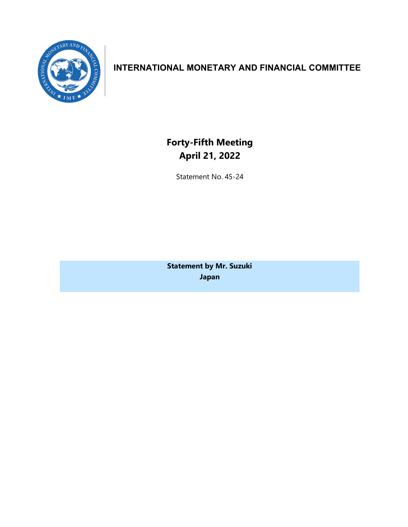

## **INTERNATIONAL MONETARY AND FINANCIAL COMMITTEE**

**Forty-Fifth Meeting April 21, 2022**

Statement No. 45-24

**Statement by Mr. Suzuki Japan**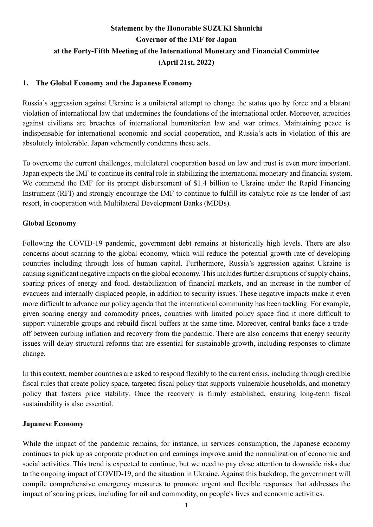# **Statement by the Honorable SUZUKI Shunichi Governor of the IMF for Japan at the Forty-Fifth Meeting of the International Monetary and Financial Committee (April 21st, 2022)**

#### **1. The Global Economy and the Japanese Economy**

Russia's aggression against Ukraine is a unilateral attempt to change the status quo by force and a blatant violation of international law that undermines the foundations of the international order. Moreover, atrocities against civilians are breaches of international humanitarian law and war crimes. Maintaining peace is indispensable for international economic and social cooperation, and Russia's acts in violation of this are absolutely intolerable. Japan vehemently condemns these acts.

To overcome the current challenges, multilateral cooperation based on law and trust is even more important. Japan expects the IMF to continue its central role in stabilizing the international monetary and financial system. We commend the IMF for its prompt disbursement of \$1.4 billion to Ukraine under the Rapid Financing Instrument (RFI) and strongly encourage the IMF to continue to fulfill its catalytic role as the lender of last resort, in cooperation with Multilateral Development Banks (MDBs).

#### **Global Economy**

Following the COVID-19 pandemic, government debt remains at historically high levels. There are also concerns about scarring to the global economy, which will reduce the potential growth rate of developing countries including through loss of human capital. Furthermore, Russia's aggression against Ukraine is causing significant negative impacts on the global economy. This includes further disruptions of supply chains, soaring prices of energy and food, destabilization of financial markets, and an increase in the number of evacuees and internally displaced people, in addition to security issues. These negative impacts make it even more difficult to advance our policy agenda that the international community has been tackling. For example, given soaring energy and commodity prices, countries with limited policy space find it more difficult to support vulnerable groups and rebuild fiscal buffers at the same time. Moreover, central banks face a tradeoff between curbing inflation and recovery from the pandemic. There are also concerns that energy security issues will delay structural reforms that are essential for sustainable growth, including responses to climate change.

In this context, member countries are asked to respond flexibly to the current crisis, including through credible fiscal rules that create policy space, targeted fiscal policy that supports vulnerable households, and monetary policy that fosters price stability. Once the recovery is firmly established, ensuring long-term fiscal sustainability is also essential.

#### **Japanese Economy**

While the impact of the pandemic remains, for instance, in services consumption, the Japanese economy continues to pick up as corporate production and earnings improve amid the normalization of economic and social activities. This trend is expected to continue, but we need to pay close attention to downside risks due to the ongoing impact of COVID-19, and the situation in Ukraine. Against this backdrop, the government will compile comprehensive emergency measures to promote urgent and flexible responses that addresses the impact of soaring prices, including for oil and commodity, on people's lives and economic activities.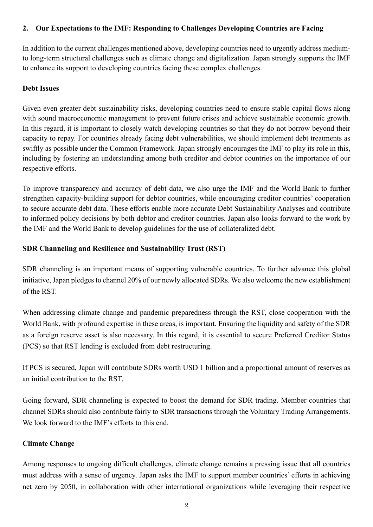#### **2. Our Expectations to the IMF: Responding to Challenges Developing Countries are Facing**

In addition to the current challenges mentioned above, developing countries need to urgently address mediumto long-term structural challenges such as climate change and digitalization. Japan strongly supports the IMF to enhance its support to developing countries facing these complex challenges.

#### **Debt Issues**

Given even greater debt sustainability risks, developing countries need to ensure stable capital flows along with sound macroeconomic management to prevent future crises and achieve sustainable economic growth. In this regard, it is important to closely watch developing countries so that they do not borrow beyond their capacity to repay. For countries already facing debt vulnerabilities, we should implement debt treatments as swiftly as possible under the Common Framework. Japan strongly encourages the IMF to play its role in this, including by fostering an understanding among both creditor and debtor countries on the importance of our respective efforts.

To improve transparency and accuracy of debt data, we also urge the IMF and the World Bank to further strengthen capacity-building support for debtor countries, while encouraging creditor countries' cooperation to secure accurate debt data. These efforts enable more accurate Debt Sustainability Analyses and contribute to informed policy decisions by both debtor and creditor countries. Japan also looks forward to the work by the IMF and the World Bank to develop guidelines for the use of collateralized debt.

### **SDR Channeling and Resilience and Sustainability Trust (RST)**

SDR channeling is an important means of supporting vulnerable countries. To further advance this global initiative, Japan pledges to channel 20% of our newly allocated SDRs. We also welcome the new establishment of the RST.

When addressing climate change and pandemic preparedness through the RST, close cooperation with the World Bank, with profound expertise in these areas, is important. Ensuring the liquidity and safety of the SDR as a foreign reserve asset is also necessary. In this regard, it is essential to secure Preferred Creditor Status (PCS) so that RST lending is excluded from debt restructuring.

If PCS is secured, Japan will contribute SDRs worth USD 1 billion and a proportional amount of reserves as an initial contribution to the RST.

Going forward, SDR channeling is expected to boost the demand for SDR trading. Member countries that channel SDRs should also contribute fairly to SDR transactions through the Voluntary Trading Arrangements. We look forward to the IMF's efforts to this end.

#### **Climate Change**

Among responses to ongoing difficult challenges, climate change remains a pressing issue that all countries must address with a sense of urgency. Japan asks the IMF to support member countries' efforts in achieving net zero by 2050, in collaboration with other international organizations while leveraging their respective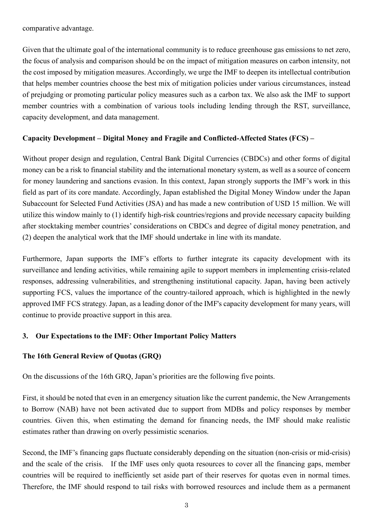comparative advantage.

Given that the ultimate goal of the international community is to reduce greenhouse gas emissions to net zero, the focus of analysis and comparison should be on the impact of mitigation measures on carbon intensity, not the cost imposed by mitigation measures. Accordingly, we urge the IMF to deepen its intellectual contribution that helps member countries choose the best mix of mitigation policies under various circumstances, instead of prejudging or promoting particular policy measures such as a carbon tax. We also ask the IMF to support member countries with a combination of various tools including lending through the RST, surveillance, capacity development, and data management.

#### **Capacity Development – Digital Money and Fragile and Conflicted-Affected States (FCS) –**

Without proper design and regulation, Central Bank Digital Currencies (CBDCs) and other forms of digital money can be a risk to financial stability and the international monetary system, as well as a source of concern for money laundering and sanctions evasion. In this context, Japan strongly supports the IMF's work in this field as part of its core mandate. Accordingly, Japan established the Digital Money Window under the Japan Subaccount for Selected Fund Activities (JSA) and has made a new contribution of USD 15 million. We will utilize this window mainly to (1) identify high-risk countries/regions and provide necessary capacity building after stocktaking member countries' considerations on CBDCs and degree of digital money penetration, and (2) deepen the analytical work that the IMF should undertake in line with its mandate.

Furthermore, Japan supports the IMF's efforts to further integrate its capacity development with its surveillance and lending activities, while remaining agile to support members in implementing crisis-related responses, addressing vulnerabilities, and strengthening institutional capacity. Japan, having been actively supporting FCS, values the importance of the country-tailored approach, which is highlighted in the newly approved IMF FCS strategy. Japan, as a leading donor of the IMF's capacity development for many years, will continue to provide proactive support in this area.

#### **3. Our Expectations to the IMF: Other Important Policy Matters**

#### **The 16th General Review of Quotas (GRQ)**

On the discussions of the 16th GRQ, Japan's priorities are the following five points.

First, it should be noted that even in an emergency situation like the current pandemic, the New Arrangements to Borrow (NAB) have not been activated due to support from MDBs and policy responses by member countries. Given this, when estimating the demand for financing needs, the IMF should make realistic estimates rather than drawing on overly pessimistic scenarios.

Second, the IMF's financing gaps fluctuate considerably depending on the situation (non-crisis or mid-crisis) and the scale of the crisis. If the IMF uses only quota resources to cover all the financing gaps, member countries will be required to inefficiently set aside part of their reserves for quotas even in normal times. Therefore, the IMF should respond to tail risks with borrowed resources and include them as a permanent